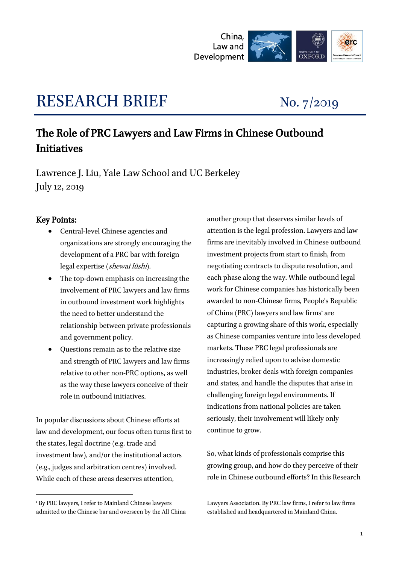

# RESEARCH BRIEF No. 7/2019

# The Role of PRC Lawyers and Law Firms in Chinese Outbound Initiatives

Lawrence J. Liu, Yale Law School and UC Berkeley July 12, 2019

# Key Points:

-

- Central-level Chinese agencies and organizations are strongly encouraging the development of a PRC bar with foreign legal expertise (shewai lüshi).
- The top-down emphasis on increasing the involvement of PRC lawyers and law firms in outbound investment work highlights the need to better understand the relationship between private professionals and government policy.
- Questions remain as to the relative size and strength of PRC lawyers and law firms relative to other non-PRC options, as well as the way these lawyers conceive of their role in outbound initiatives.

In popular discussions about Chinese efforts at law and development, our focus often turns first to the states, legal doctrine (e.g. trade and investment law), and/or the institutional actors (e.g., judges and arbitration centres) involved. While each of these areas deserves attention,

another group that deserves similar levels of attention is the legal profession. Lawyers and law firms are inevitably involved in Chinese outbound investment projects from start to finish, from negotiating contracts to dispute resolution, and each phase along the way. While outbound legal work for Chinese companies has historically been awarded to non-Chinese firms, People's Republic of China (PRC) lawyers and law firms' are capturing a growing share of this work, especially as Chinese companies venture into less developed markets. These PRC legal professionals are increasingly relied upon to advise domestic industries, broker deals with foreign companies and states, and handle the disputes that arise in challenging foreign legal environments. If indications from national policies are taken seriously, their involvement will likely only continue to grow.

So, what kinds of professionals comprise this growing group, and how do they perceive of their role in Chinese outbound efforts? In this Research

<sup>1</sup> By PRC lawyers, I refer to Mainland Chinese lawyers admitted to the Chinese bar and overseen by the All China

Lawyers Association. By PRC law firms, I refer to law firms established and headquartered in Mainland China.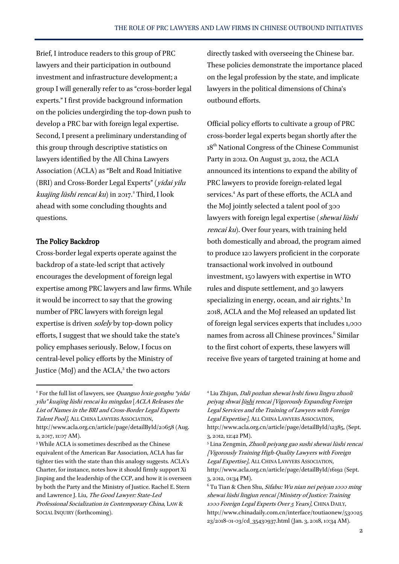Brief, I introduce readers to this group of PRC lawyers and their participation in outbound investment and infrastructure development; a group I will generally refer to as "cross-border legal experts." I first provide background information on the policies undergirding the top-down push to develop a PRC bar with foreign legal expertise. Second, I present a preliminary understanding of this group through descriptive statistics on lawyers identified by the All China Lawyers Association (ACLA) as "Belt and Road Initiative (BRI) and Cross-Border Legal Experts" (yidai yilu kuajing lüshi rencai ku) in 2017.<sup>2</sup> Third, I look ahead with some concluding thoughts and questions.

### The Policy Backdrop

 $\overline{a}$ 

Cross-border legal experts operate against the backdrop of a state-led script that actively encourages the development of foreign legal expertise among PRC lawyers and law firms. While it would be incorrect to say that the growing number of PRC lawyers with foreign legal expertise is driven *solely* by top-down policy efforts, I suggest that we should take the state's policy emphases seriously. Below, I focus on central-level policy efforts by the Ministry of Justice (MoJ) and the ACLA,<sup>3</sup> the two actors

directly tasked with overseeing the Chinese bar. These policies demonstrate the importance placed on the legal profession by the state, and implicate lawyers in the political dimensions of China's outbound efforts.

Official policy efforts to cultivate a group of PRC cross-border legal experts began shortly after the 18<sup>th</sup> National Congress of the Chinese Communist Party in 2012. On August 31, 2012, the ACLA announced its intentions to expand the ability of PRC lawyers to provide foreign-related legal services.<sup>4</sup> As part of these efforts, the ACLA and the MoJ jointly selected a talent pool of 300 lawyers with foreign legal expertise (shewai lüshi rencai ku). Over four years, with training held both domestically and abroad, the program aimed to produce 120 lawyers proficient in the corporate transactional work involved in outbound investment, 150 lawyers with expertise in WTO rules and dispute settlement, and 30 lawyers specializing in energy, ocean, and air rights.<sup>5</sup> In 2018, ACLA and the MoJ released an updated list of foreign legal services experts that includes 1,000 names from across all Chinese provinces.<sup>6</sup> Similar to the first cohort of experts, these lawyers will receive five years of targeted training at home and

 $2$  For the full list of lawyers, see Quanguo lyxie gongbu "yidai" yilu" kuajing lüshi rencai ku mingdan [ACLA Releases the List of Names in the BRI and Cross-Border Legal Experts Talent Pool], ALL CHINA LAWYERS ASSOCIATION, http://www.acla.org.cn/article/page/detailById/20658 (Aug. 2, 2017, 11:07 AM).

<sup>3</sup> While ACLA is sometimes described as the Chinese equivalent of the American Bar Association, ACLA has far tighter ties with the state than this analogy suggests. ACLA's Charter, for instance, notes how it should firmly support Xi Jinping and the leadership of the CCP, and how it is overseen by both the Party and the Ministry of Justice. Rachel E. Stern and Lawrence J. Liu, The Good Lawyer: State-Led Professional Socialization in Contemporary China, LAW & SOCIAL INQUIRY (forthcoming).

<sup>4</sup> Liu Zhijun, Dali pozhan shewai lvshi fuwu lingyu zhuoli peiyag shwai lüshi rencai [Vigorously Expanding Foreign Legal Services and the Training of Lawyers with Foreign Legal Expertise], ALL CHINA LAWYERS ASSOCIATION, http://www.acla.org.cn/article/page/detailById/12385, (Sept. 3, 2012, 12:42 PM).

<sup>&</sup>lt;sup>5</sup> Lina Zengmin, Zhuoli peiyang gao sushi shewai lüshi rencai [Vigorously Training High-Quality Lawyers with Foreign Legal Expertise], ALL CHINA LAWYERS ASSOCIATION, http://www.acla.org.cn/article/page/detailById/16192 (Sept. 3, 2012, 01:34 PM).

 $6$  Tu Tian & Chen Shu, *Sifabu: Wu nian nei peiyan 1000 ming* shewai lüshi lingjun rencai [Ministry of Justice: Training 1000 Foreign Legal Experts Over 5 Years], CHINA DAILY, http://www.chinadaily.com.cn/interface/toutiaonew/530025 23/2018-01-03/cd\_35430937.html (Jan. 3, 2018, 10:34 AM).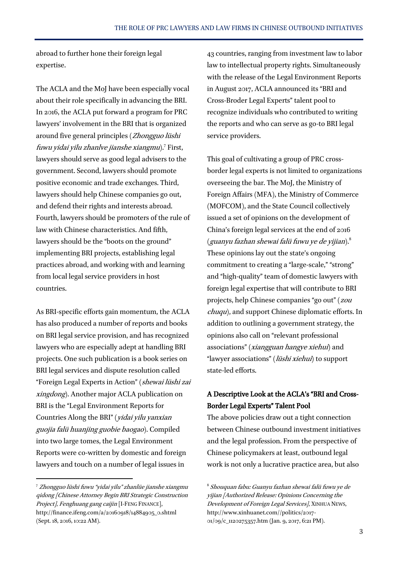abroad to further hone their foreign legal expertise.

The ACLA and the MoJ have been especially vocal about their role specifically in advancing the BRI. In 2016, the ACLA put forward a program for PRC lawyers' involvement in the BRI that is organized around five general principles (Zhongguo lüshi fuwu yidai yilu zhanlve jianshe xiangmu).<sup>7</sup> First, lawyers should serve as good legal advisers to the government. Second, lawyers should promote positive economic and trade exchanges. Third, lawyers should help Chinese companies go out, and defend their rights and interests abroad. Fourth, lawyers should be promoters of the rule of law with Chinese characteristics. And fifth, lawyers should be the "boots on the ground" implementing BRI projects, establishing legal practices abroad, and working with and learning from local legal service providers in host countries.

As BRI-specific efforts gain momentum, the ACLA has also produced a number of reports and books on BRI legal service provision, and has recognized lawyers who are especially adept at handling BRI projects. One such publication is a book series on BRI legal services and dispute resolution called "Foreign Legal Experts in Action" (shewai lüshi zai xingdong). Another major ACLA publication on BRI is the "Legal Environment Reports for Countries Along the BRI" (yidai yilu yanxian guojia falü huanjing guobie baogao). Compiled into two large tomes, the Legal Environment Reports were co-written by domestic and foreign lawyers and touch on a number of legal issues in

 $\overline{a}$ 

43 countries, ranging from investment law to labor law to intellectual property rights. Simultaneously with the release of the Legal Environment Reports in August 2017, ACLA announced its "BRI and Cross-Broder Legal Experts" talent pool to recognize individuals who contributed to writing the reports and who can serve as go-to BRI legal service providers.

This goal of cultivating a group of PRC crossborder legal experts is not limited to organizations overseeing the bar. The MoJ, the Ministry of Foreign Affairs (MFA), the Ministry of Commerce (MOFCOM), and the State Council collectively issued a set of opinions on the development of China's foreign legal services at the end of 2016 (guanyu fazhan shewai falü fuwu ye de yijian).<sup>8</sup> These opinions lay out the state's ongoing commitment to creating a "large-scale," "strong" and "high-quality" team of domestic lawyers with foreign legal expertise that will contribute to BRI projects, help Chinese companies "go out" (zou chuqu), and support Chinese diplomatic efforts. In addition to outlining a government strategy, the opinions also call on "relevant professional associations" (xiangguan hangye xiehui) and "lawyer associations" (lüshi xiehui) to support state-led efforts.

# A Descriptive Look at the ACLA's "BRI and Cross-Border Legal Experts" Talent Pool

The above policies draw out a tight connection between Chinese outbound investment initiatives and the legal profession. From the perspective of Chinese policymakers at least, outbound legal work is not only a lucrative practice area, but also

<sup>7</sup> Zhongguo lüshi fuwu "yidai yilu" zhanlüe jianshe xiangmu qidong [Chinese Attorney Begin BRI Strategic Construction Project], Fenghuang gang caijin [I-FENG FINANCE], http://finance.ifeng.com/a/20160918/14884905\_0.shtml (Sept. 18, 2016, 10:22 AM).

<sup>8</sup> Shouquan fabu: Guanyu fazhan shewai falü fuwu ye de yijian [Authorized Release: Opinions Concerning the Development of Foreign Legal Services], XINHUA NEWS, http://www.xinhuanet.com//politics/2017- 01/09/c\_1120275357.htm (Jan. 9, 2017, 6:21 PM).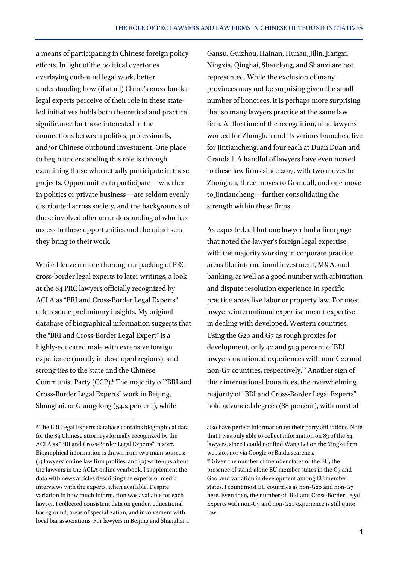a means of participating in Chinese foreign policy efforts. In light of the political overtones overlaying outbound legal work, better understanding how (if at all) China's cross-border legal experts perceive of their role in these stateled initiatives holds both theoretical and practical significance for those interested in the connections between politics, professionals, and/or Chinese outbound investment. One place to begin understanding this role is through examining those who actually participate in these projects. Opportunities to participate—whether in politics or private business—are seldom evenly distributed across society, and the backgrounds of those involved offer an understanding of who has access to these opportunities and the mind-sets they bring to their work.

While I leave a more thorough unpacking of PRC cross-border legal experts to later writings, a look at the 84 PRC lawyers officially recognized by ACLA as "BRI and Cross-Border Legal Experts" offers some preliminary insights. My original database of biographical information suggests that the "BRI and Cross-Border Legal Expert" is a highly-educated male with extensive foreign experience (mostly in developed regions), and strong ties to the state and the Chinese Communist Party (CCP).<sup>9</sup> The majority of "BRI and Cross-Border Legal Experts" work in Beijing, Shanghai, or Guangdong (54.2 percent), while

 $\overline{a}$ 

Gansu, Guizhou, Hainan, Hunan, Jilin, Jiangxi, Ningxia, Qinghai, Shandong, and Shanxi are not represented. While the exclusion of many provinces may not be surprising given the small number of honorees, it is perhaps more surprising that so many lawyers practice at the same law firm. At the time of the recognition, nine lawyers worked for Zhonglun and its various branches, five for Jintiancheng, and four each at Duan Duan and Grandall. A handful of lawyers have even moved to these law firms since 2017, with two moves to Zhonglun, three moves to Grandall, and one move to Jintiancheng—further consolidating the strength within these firms.

As expected, all but one lawyer had a firm page that noted the lawyer's foreign legal expertise, with the majority working in corporate practice areas like international investment, M&A, and banking, as well as a good number with arbitration and dispute resolution experience in specific practice areas like labor or property law. For most lawyers, international expertise meant expertise in dealing with developed, Western countries. Using the G20 and G7 as rough proxies for development, only 42 and 51.9 percent of BRI lawyers mentioned experiences with non-G20 and non-G7 countries, respectively.<sup>10</sup> Another sign of their international bona fides, the overwhelming majority of "BRI and Cross-Border Legal Experts" hold advanced degrees (88 percent), with most of

<sup>9</sup> The BRI Legal Experts database contains biographical data for the 84 Chinese attorneys formally recognized by the ACLA as "BRI and Cross-Border Legal Experts" in 2017. Biographical information is drawn from two main sources: (1) lawyers' online law firm profiles, and (2) write-ups about the lawyers in the ACLA online yearbook. I supplement the data with news articles describing the experts or media interviews with the experts, when available. Despite variation in how much information was available for each lawyer, I collected consistent data on gender, educational background, areas of specialization, and involvement with local bar associations. For lawyers in Beijing and Shanghai, I

also have perfect information on their party affiliations. Note that I was only able to collect information on 83 of the 84 lawyers, since I could not find Wang Lei on the Yingke firm website, nor via Google or Baidu searches. <sup>10</sup> Given the number of member states of the EU, the presence of stand-alone EU member states in the G7 and G20, and variation in development among EU member states, I count most EU countries as non-G20 and non-G7 here. Even then, the number of "BRI and Cross-Border Legal Experts with non-G7 and non-G20 experience is still quite low.